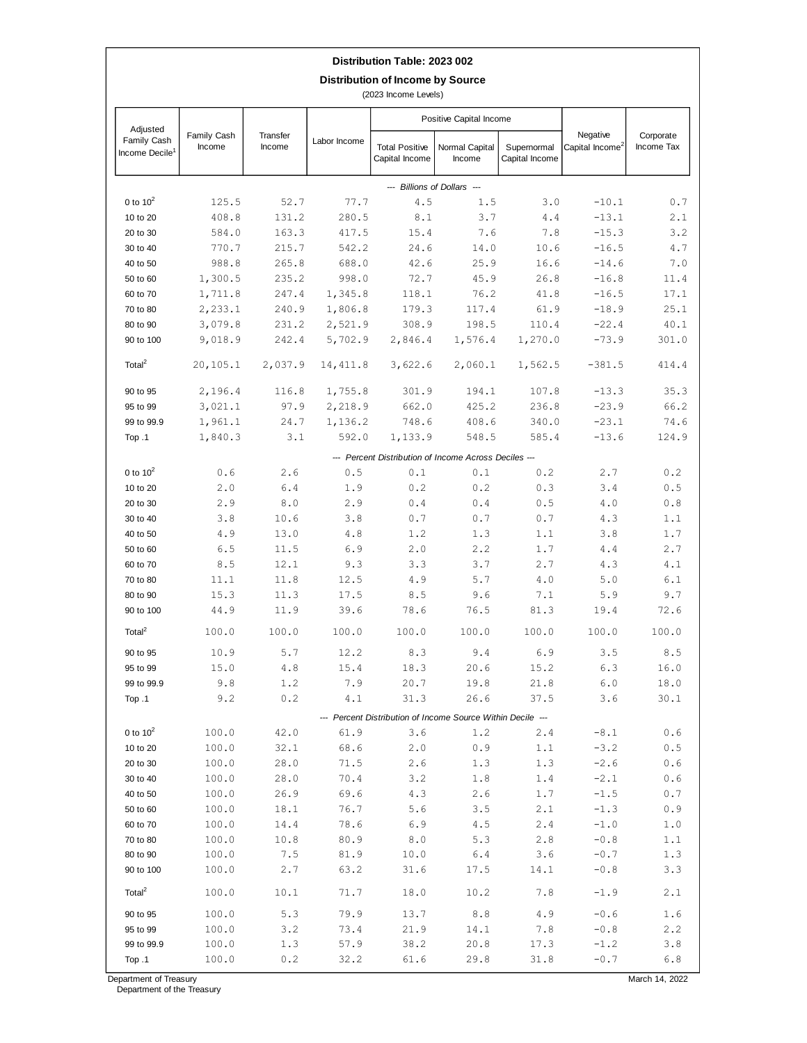## **Distribution Table: 2023 002**

**Distribution of Income by Source**

(2023 Income Levels)

| Adjusted<br>Family Cash<br>Income Decile <sup>1</sup> | Family Cash<br>Income                                 | Transfer<br>Income | Labor Income  | Positive Capital Income                                     |                                                       |                               |                                         |                         |
|-------------------------------------------------------|-------------------------------------------------------|--------------------|---------------|-------------------------------------------------------------|-------------------------------------------------------|-------------------------------|-----------------------------------------|-------------------------|
|                                                       |                                                       |                    |               | <b>Total Positive</b><br>Capital Income                     | Normal Capital<br>Income                              | Supernormal<br>Capital Income | Negative<br>Capital Income <sup>2</sup> | Corporate<br>Income Tax |
| --- Billions of Dollars ---                           |                                                       |                    |               |                                                             |                                                       |                               |                                         |                         |
| 0 to $10^2$                                           | 125.5                                                 | 52.7               | 77.7          | 4.5                                                         | 1.5                                                   | 3.0                           | $-10.1$                                 | 0.7                     |
| 10 to 20                                              | 408.8                                                 | 131.2              | 280.5         | $\,8$ . $1$                                                 | 3.7                                                   | 4.4                           | $-13.1$                                 | 2.1                     |
| 20 to 30                                              | 584.0                                                 | 163.3              | 417.5         | 15.4                                                        | 7.6                                                   | 7.8                           | $-15.3$                                 | 3.2                     |
| 30 to 40                                              | 770.7                                                 | 215.7              | 542.2         | 24.6                                                        | 14.0                                                  | 10.6                          | $-16.5$                                 | 4.7                     |
| 40 to 50                                              | 988.8                                                 | 265.8              | 688.0         | 42.6                                                        | 25.9                                                  | 16.6                          | $-14.6$                                 | 7.0                     |
| 50 to 60                                              | 1,300.5                                               | 235.2              | 998.0         | 72.7                                                        | 45.9                                                  | 26.8                          | $-16.8$                                 | 11.4                    |
| 60 to 70                                              | 1,711.8                                               | 247.4              | 1,345.8       | 118.1                                                       | 76.2                                                  | 41.8                          | $-16.5$                                 | 17.1                    |
| 70 to 80                                              | 2,233.1                                               | 240.9              | 1,806.8       | 179.3                                                       | 117.4                                                 | 61.9                          | $-18.9$                                 | 25.1                    |
| 80 to 90                                              | 3,079.8                                               | 231.2              | 2,521.9       | 308.9                                                       | 198.5                                                 | 110.4                         | $-22.4$                                 | 40.1                    |
| 90 to 100                                             | 9,018.9                                               | 242.4              | 5,702.9       | 2,846.4                                                     | 1,576.4                                               | 1,270.0                       | $-73.9$                                 | 301.0                   |
| Total $^2$                                            | 20,105.1                                              | 2,037.9            | 14, 411.8     | 3,622.6                                                     | 2,060.1                                               | 1,562.5                       | $-381.5$                                | 414.4                   |
| 90 to 95                                              | 2,196.4                                               | 116.8              | 1,755.8       | 301.9                                                       | 194.1                                                 | 107.8                         | $-13.3$                                 | 35.3                    |
| 95 to 99                                              | 3,021.1                                               | 97.9               | 2,218.9       | 662.0                                                       | 425.2                                                 | 236.8                         | $-23.9$                                 | 66.2                    |
| 99 to 99.9                                            | 1,961.1                                               | 24.7               | 1,136.2       | 748.6                                                       | 408.6                                                 | 340.0                         | $-23.1$                                 | 74.6                    |
| Top .1                                                | 1,840.3                                               | 3.1                | 592.0         | 1,133.9                                                     | 548.5                                                 | 585.4                         | $-13.6$                                 | 124.9                   |
|                                                       | --- Percent Distribution of Income Across Deciles --- |                    |               |                                                             |                                                       |                               |                                         |                         |
| 0 to $10^2$                                           | 0.6                                                   | 2.6                | 0.5           | 0.1                                                         | 0.1                                                   | 0.2                           | 2.7                                     | 0.2                     |
| 10 to 20                                              | 2.0                                                   | 6.4                | 1.9           | 0.2                                                         | 0.2                                                   | 0.3                           | 3.4                                     | 0.5                     |
| 20 to 30                                              | 2.9                                                   | $\,8$ . $0$        | 2.9           | $\ensuremath{\mathbf{0}}$ . $\ensuremath{\mathbf{4}}$       | $\ensuremath{\mathbf{0}}$ . $\ensuremath{\mathbf{4}}$ | 0.5                           | $4\,$ . $0$                             | $0.8$                   |
| 30 to 40                                              | 3.8                                                   | 10.6               | 3.8           | $0.7\,$                                                     | $\ensuremath{\mathsf{0}}\xspace$ . 7                  | $0.7$                         | 4.3                                     | 1.1                     |
| 40 to 50                                              | 4.9                                                   | 13.0               | $4\,\ldotp 8$ | 1.2                                                         | 1.3                                                   | 1.1                           | 3.8                                     | 1.7                     |
| 50 to 60                                              | 6.5                                                   | 11.5               | 6.9           | 2.0                                                         | 2.2                                                   | $1.7\,$                       | $4\,\ldotp4$                            | 2.7                     |
| 60 to 70                                              | $8\,.5$                                               | 12.1               | 9.3           | 3.3                                                         | 3.7                                                   | 2.7                           | 4.3                                     | 4.1                     |
| 70 to 80                                              | 11.1                                                  | 11.8               | 12.5          | 4.9                                                         | 5.7                                                   | $4\,.0$                       | 5.0                                     | 6.1                     |
| 80 to 90                                              | 15.3                                                  | 11.3               | 17.5          | 8.5                                                         | 9.6                                                   | 7.1                           | 5.9                                     | 9.7                     |
| 90 to 100<br>Total $^2$                               | 44.9                                                  | 11.9               | 39.6          | 78.6                                                        | 76.5                                                  | 81.3                          | 19.4<br>100.0                           | 72.6                    |
|                                                       | 100.0                                                 | 100.0              | 100.0         | 100.0                                                       | 100.0                                                 | 100.0                         |                                         | 100.0                   |
| 90 to 95                                              | 10.9                                                  | 5.7                | 12.2          | 8.3                                                         | 9.4                                                   | 6.9                           | 3.5                                     | 8.5                     |
| 95 to 99                                              | 15.0                                                  | 4.8                | 15.4          | 18.3                                                        | 20.6                                                  | 15.2                          | 6.3                                     | 16.0                    |
| 99 to 99.9                                            | 9.8                                                   | 1.2                | 7.9           | 20.7                                                        | 19.8                                                  | 21.8                          | 6.0                                     | 18.0                    |
| Top .1                                                | 9.2                                                   | 0.2                | 4.1           | 31.3                                                        | 26.6                                                  | 37.5                          | 3.6                                     | 30.1                    |
|                                                       |                                                       |                    |               | --- Percent Distribution of Income Source Within Decile --- |                                                       |                               |                                         |                         |
| 0 to $10^2$                                           | 100.0                                                 | 42.0               | 61.9          | 3.6                                                         | 1.2                                                   | 2.4                           | $-8.1$                                  | 0.6                     |
| 10 to 20                                              | 100.0                                                 | 32.1               | 68.6          | 2.0                                                         | 0.9                                                   | 1.1                           | $-3.2$                                  | $0.5$                   |
| 20 to 30                                              | 100.0                                                 | 28.0               | 71.5          | 2.6                                                         | 1.3                                                   | 1.3                           | $-2.6$                                  | 0.6                     |
| 30 to 40                                              | 100.0                                                 | 28.0               | 70.4          | 3.2                                                         | 1.8                                                   | 1.4                           | $-2.1$                                  | 0.6                     |
| 40 to 50                                              | 100.0                                                 | 26.9               | 69.6          | 4.3                                                         | 2.6                                                   | 1.7                           | $-1.5$                                  | 0.7                     |
| 50 to 60                                              | 100.0                                                 | 18.1               | 76.7          | 5.6                                                         | 3.5                                                   | 2.1                           | $-1.3$                                  | 0.9                     |
| 60 to 70                                              | 100.0                                                 | 14.4               | 78.6          | 6.9                                                         | 4.5                                                   | 2.4                           | $-1.0$                                  | 1.0                     |
| 70 to 80                                              | 100.0                                                 | 10.8               | 80.9          | 8.0                                                         | 5.3                                                   | 2.8                           | $-0.8$                                  | 1.1                     |
| 80 to 90                                              | 100.0                                                 | 7.5                | 81.9          | 10.0                                                        | $6.4$                                                 | 3.6                           | $-0.7$                                  | 1.3                     |
| 90 to 100                                             | 100.0                                                 | 2.7                | 63.2          | 31.6                                                        | 17.5                                                  | 14.1                          | $-0.8$                                  | 3.3                     |
| Total $^2$                                            | 100.0                                                 | 10.1               | 71.7          | 18.0                                                        | 10.2                                                  | 7.8                           | $-1.9$                                  | 2.1                     |
| 90 to 95                                              | 100.0                                                 | 5.3                | 79.9          | 13.7                                                        | 8.8                                                   | 4.9                           | $-0.6$                                  | 1.6                     |
| 95 to 99                                              | 100.0                                                 | 3.2                | 73.4          | 21.9                                                        | 14.1                                                  | 7.8                           | $-0.8$                                  | 2.2                     |
| 99 to 99.9                                            | 100.0                                                 | 1.3                | 57.9          | 38.2                                                        | 20.8                                                  | 17.3                          | $-1.2$                                  | 3.8                     |
| Top .1                                                | 100.0                                                 | 0.2                | 32.2          | 61.6                                                        | 29.8                                                  | 31.8                          | $-0.7$                                  | 6.8                     |

Department of Treasury

Department of the Treasury